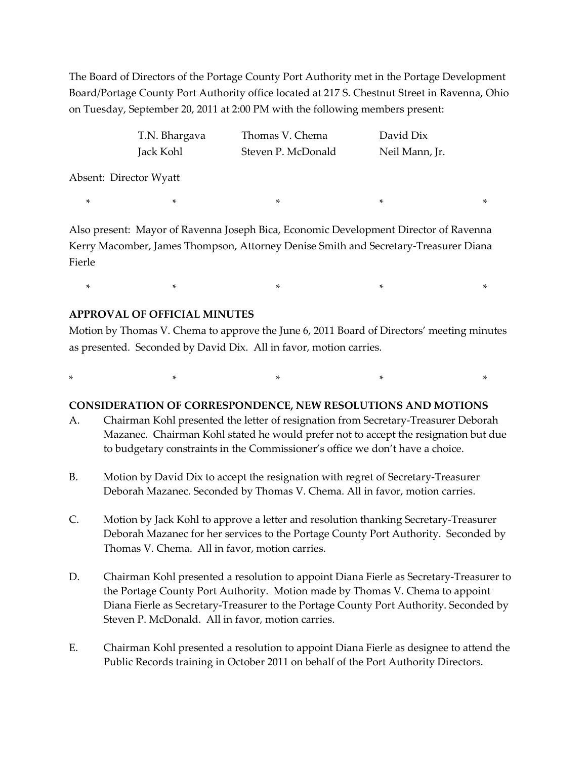The Board of Directors of the Portage County Port Authority met in the Portage Development Board/Portage County Port Authority office located at 217 S. Chestnut Street in Ravenna, Ohio on Tuesday, September 20, 2011 at 2:00 PM with the following members present:

| T.N. Bhargava          | Thomas V. Chema    | David Dix      |
|------------------------|--------------------|----------------|
| Jack Kohl              | Steven P. McDonald | Neil Mann, Jr. |
| Absent: Director Wyatt |                    |                |

Also present: Mayor of Ravenna Joseph Bica, Economic Development Director of Ravenna Kerry Macomber, James Thompson, Attorney Denise Smith and Secretary-Treasurer Diana Fierle

 $\begin{matrix} * & * & * \ * & * & * \end{matrix}$ 

 $\begin{array}{ccccccccccccccccccccccccc} * & & & & * & & & * & & & * & & & * & & \end{array}$ 

#### **APPROVAL OF OFFICIAL MINUTES**

Motion by Thomas V. Chema to approve the June 6, 2011 Board of Directors' meeting minutes as presented. Seconded by David Dix. All in favor, motion carries.

\* \* \* \* \*

#### **CONSIDERATION OF CORRESPONDENCE, NEW RESOLUTIONS AND MOTIONS**

- A. Chairman Kohl presented the letter of resignation from Secretary-Treasurer Deborah Mazanec. Chairman Kohl stated he would prefer not to accept the resignation but due to budgetary constraints in the Commissioner's office we don't have a choice.
- B. Motion by David Dix to accept the resignation with regret of Secretary-Treasurer Deborah Mazanec. Seconded by Thomas V. Chema. All in favor, motion carries.
- C. Motion by Jack Kohl to approve a letter and resolution thanking Secretary-Treasurer Deborah Mazanec for her services to the Portage County Port Authority. Seconded by Thomas V. Chema. All in favor, motion carries.
- D. Chairman Kohl presented a resolution to appoint Diana Fierle as Secretary-Treasurer to the Portage County Port Authority. Motion made by Thomas V. Chema to appoint Diana Fierle as Secretary-Treasurer to the Portage County Port Authority. Seconded by Steven P. McDonald. All in favor, motion carries.
- E. Chairman Kohl presented a resolution to appoint Diana Fierle as designee to attend the Public Records training in October 2011 on behalf of the Port Authority Directors.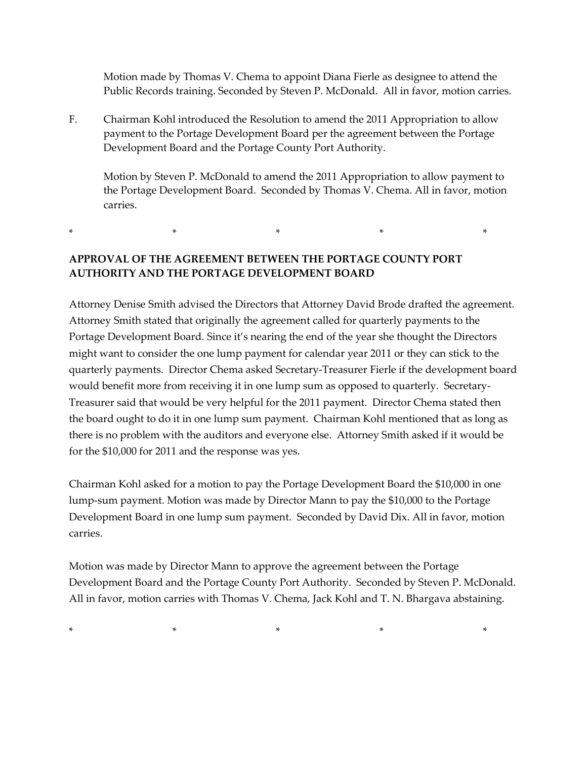Motion made by Thomas V. Chema to appoint Diana Fierle as designee to attend the Public Records training. Seconded by Steven P. McDonald. All in favor, motion carries.

F. Chairman Kohl introduced the Resolution to amend the 2011 Appropriation to allow payment to the Portage Development Board per the agreement between the Portage Development Board and the Portage County Port Authority.

Motion by Steven P. McDonald to amend the 2011 Appropriation to allow payment to the Portage Development Board. Seconded by Thomas V. Chema. All in favor, motion carries.

## **APPROVAL OF THE AGREEMENT BETWEEN THE PORTAGE COUNTY PORT AUTHORITY AND THE PORTAGE DEVELOPMENT BOARD**

 $*$  \*  $*$  \*  $*$  \*

Attorney Denise Smith advised the Directors that Attorney David Brode drafted the agreement. Attorney Smith stated that originally the agreement called for quarterly payments to the Portage Development Board. Since it's nearing the end of the year she thought the Directors might want to consider the one lump payment for calendar year 2011 or they can stick to the quarterly payments. Director Chema asked Secretary-Treasurer Fierle if the development board would benefit more from receiving it in one lump sum as opposed to quarterly. Secretary-Treasurer said that would be very helpful for the 2011 payment. Director Chema stated then the board ought to do it in one lump sum payment. Chairman Kohl mentioned that as long as there is no problem with the auditors and everyone else. Attorney Smith asked if it would be for the \$10,000 for 2011 and the response was yes.

Chairman Kohl asked for a motion to pay the Portage Development Board the \$10,000 in one lump-sum payment. Motion was made by Director Mann to pay the \$10,000 to the Portage Development Board in one lump sum payment. Seconded by David Dix. All in favor, motion carries.

Motion was made by Director Mann to approve the agreement between the Portage Development Board and the Portage County Port Authority. Seconded by Steven P. McDonald. All in favor, motion carries with Thomas V. Chema, Jack Kohl and T. N. Bhargava abstaining.

\* \* \* \* \*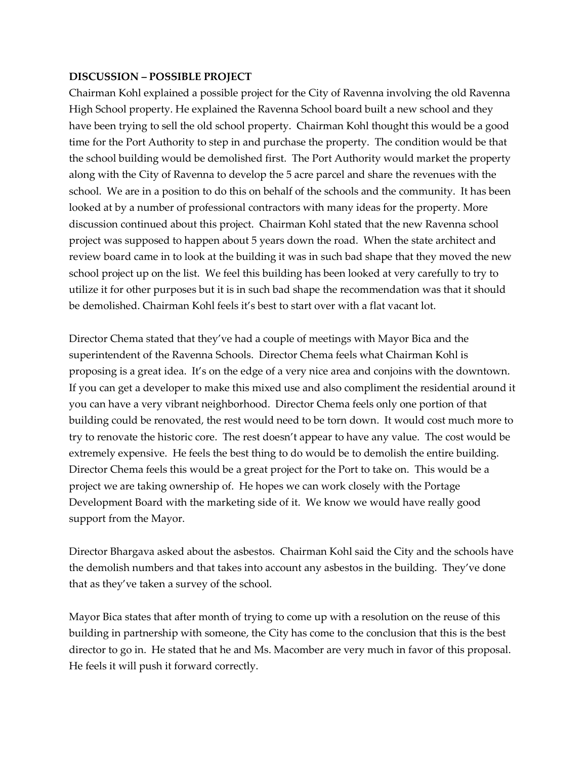### **DISCUSSION – POSSIBLE PROJECT**

Chairman Kohl explained a possible project for the City of Ravenna involving the old Ravenna High School property. He explained the Ravenna School board built a new school and they have been trying to sell the old school property. Chairman Kohl thought this would be a good time for the Port Authority to step in and purchase the property. The condition would be that the school building would be demolished first. The Port Authority would market the property along with the City of Ravenna to develop the 5 acre parcel and share the revenues with the school. We are in a position to do this on behalf of the schools and the community. It has been looked at by a number of professional contractors with many ideas for the property. More discussion continued about this project. Chairman Kohl stated that the new Ravenna school project was supposed to happen about 5 years down the road. When the state architect and review board came in to look at the building it was in such bad shape that they moved the new school project up on the list. We feel this building has been looked at very carefully to try to utilize it for other purposes but it is in such bad shape the recommendation was that it should be demolished. Chairman Kohl feels it's best to start over with a flat vacant lot.

Director Chema stated that they've had a couple of meetings with Mayor Bica and the superintendent of the Ravenna Schools. Director Chema feels what Chairman Kohl is proposing is a great idea. It's on the edge of a very nice area and conjoins with the downtown. If you can get a developer to make this mixed use and also compliment the residential around it you can have a very vibrant neighborhood. Director Chema feels only one portion of that building could be renovated, the rest would need to be torn down. It would cost much more to try to renovate the historic core. The rest doesn't appear to have any value. The cost would be extremely expensive. He feels the best thing to do would be to demolish the entire building. Director Chema feels this would be a great project for the Port to take on. This would be a project we are taking ownership of. He hopes we can work closely with the Portage Development Board with the marketing side of it. We know we would have really good support from the Mayor.

Director Bhargava asked about the asbestos. Chairman Kohl said the City and the schools have the demolish numbers and that takes into account any asbestos in the building. They've done that as they've taken a survey of the school.

Mayor Bica states that after month of trying to come up with a resolution on the reuse of this building in partnership with someone, the City has come to the conclusion that this is the best director to go in. He stated that he and Ms. Macomber are very much in favor of this proposal. He feels it will push it forward correctly.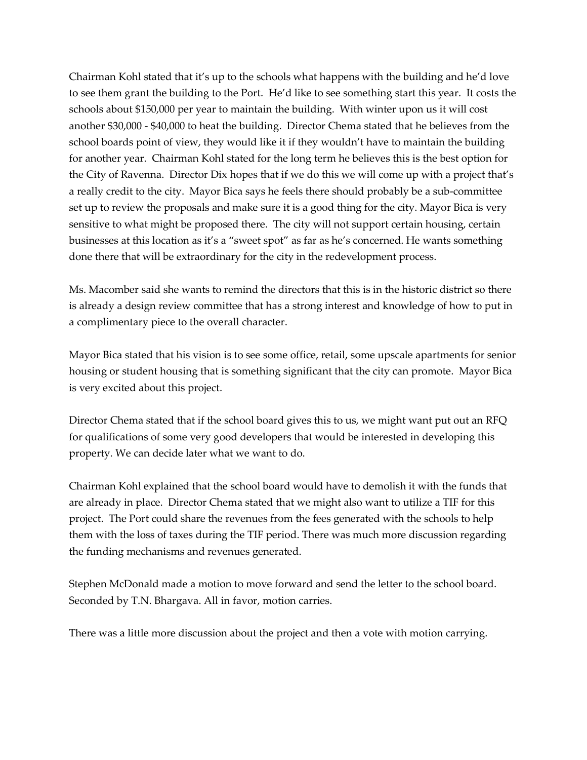Chairman Kohl stated that it's up to the schools what happens with the building and he'd love to see them grant the building to the Port. He'd like to see something start this year. It costs the schools about \$150,000 per year to maintain the building. With winter upon us it will cost another \$30,000 - \$40,000 to heat the building. Director Chema stated that he believes from the school boards point of view, they would like it if they wouldn't have to maintain the building for another year. Chairman Kohl stated for the long term he believes this is the best option for the City of Ravenna. Director Dix hopes that if we do this we will come up with a project that's a really credit to the city. Mayor Bica says he feels there should probably be a sub-committee set up to review the proposals and make sure it is a good thing for the city. Mayor Bica is very sensitive to what might be proposed there. The city will not support certain housing, certain businesses at this location as it's a "sweet spot" as far as he's concerned. He wants something done there that will be extraordinary for the city in the redevelopment process.

Ms. Macomber said she wants to remind the directors that this is in the historic district so there is already a design review committee that has a strong interest and knowledge of how to put in a complimentary piece to the overall character.

Mayor Bica stated that his vision is to see some office, retail, some upscale apartments for senior housing or student housing that is something significant that the city can promote. Mayor Bica is very excited about this project.

Director Chema stated that if the school board gives this to us, we might want put out an RFQ for qualifications of some very good developers that would be interested in developing this property. We can decide later what we want to do.

Chairman Kohl explained that the school board would have to demolish it with the funds that are already in place. Director Chema stated that we might also want to utilize a TIF for this project. The Port could share the revenues from the fees generated with the schools to help them with the loss of taxes during the TIF period. There was much more discussion regarding the funding mechanisms and revenues generated.

Stephen McDonald made a motion to move forward and send the letter to the school board. Seconded by T.N. Bhargava. All in favor, motion carries.

There was a little more discussion about the project and then a vote with motion carrying.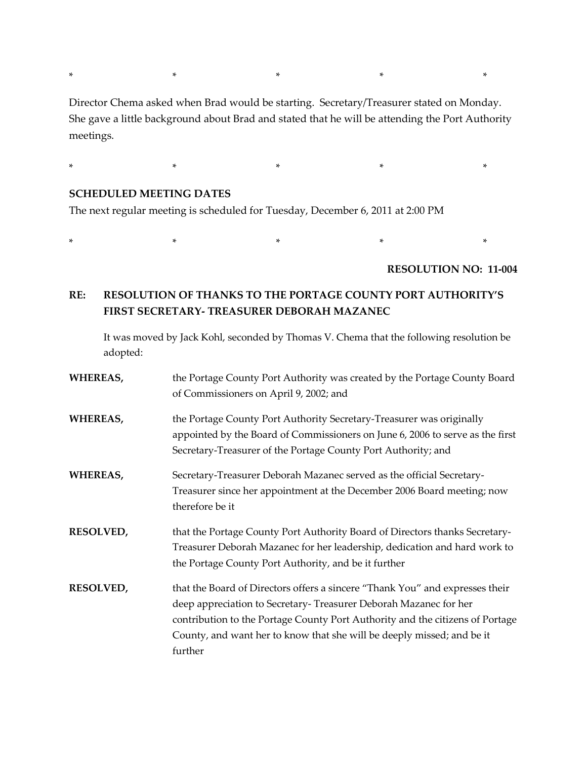Director Chema asked when Brad would be starting. Secretary/Treasurer stated on Monday. She gave a little background about Brad and stated that he will be attending the Port Authority meetings.

\* \* \* \* \*

\* \* \* \* \*

#### **SCHEDULED MEETING DATES**

The next regular meeting is scheduled for Tuesday, December 6, 2011 at 2:00 PM

\* \* \* \* \*

#### **RESOLUTION NO: 11-004**

## **RE: RESOLUTION OF THANKS TO THE PORTAGE COUNTY PORT AUTHORITY'S FIRST SECRETARY- TREASURER DEBORAH MAZANEC**

It was moved by Jack Kohl, seconded by Thomas V. Chema that the following resolution be adopted:

| <b>WHEREAS,</b>  | the Portage County Port Authority was created by the Portage County Board<br>of Commissioners on April 9, 2002; and                                                                                                                                                                                                    |
|------------------|------------------------------------------------------------------------------------------------------------------------------------------------------------------------------------------------------------------------------------------------------------------------------------------------------------------------|
| <b>WHEREAS,</b>  | the Portage County Port Authority Secretary-Treasurer was originally<br>appointed by the Board of Commissioners on June 6, 2006 to serve as the first<br>Secretary-Treasurer of the Portage County Port Authority; and                                                                                                 |
| WHEREAS,         | Secretary-Treasurer Deborah Mazanec served as the official Secretary-<br>Treasurer since her appointment at the December 2006 Board meeting; now<br>therefore be it                                                                                                                                                    |
| RESOLVED,        | that the Portage County Port Authority Board of Directors thanks Secretary-<br>Treasurer Deborah Mazanec for her leadership, dedication and hard work to<br>the Portage County Port Authority, and be it further                                                                                                       |
| <b>RESOLVED,</b> | that the Board of Directors offers a sincere "Thank You" and expresses their<br>deep appreciation to Secretary-Treasurer Deborah Mazanec for her<br>contribution to the Portage County Port Authority and the citizens of Portage<br>County, and want her to know that she will be deeply missed; and be it<br>further |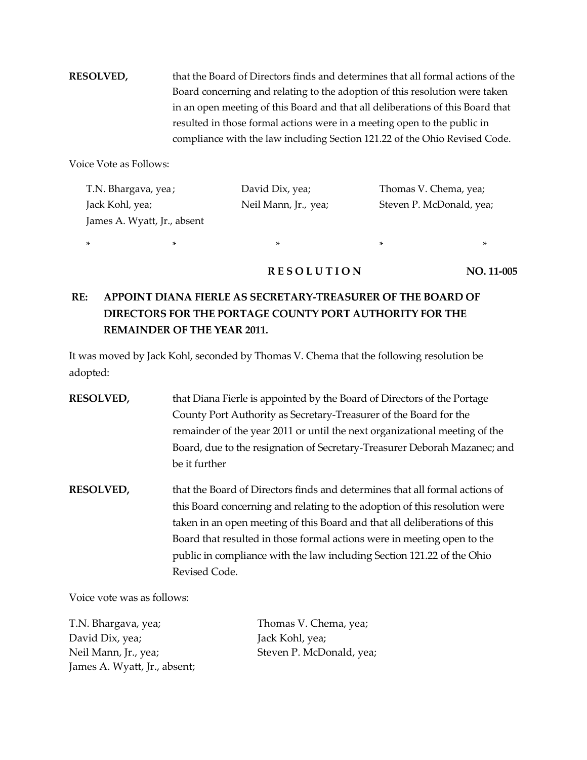**RESOLVED,** that the Board of Directors finds and determines that all formal actions of the Board concerning and relating to the adoption of this resolution were taken in an open meeting of this Board and that all deliberations of this Board that resulted in those formal actions were in a meeting open to the public in compliance with the law including Section 121.22 of the Ohio Revised Code.

Voice Vote as Follows:

| T.N. Bhargava, yea;         | David Dix, yea;      | Thomas V. Chema, yea;    |
|-----------------------------|----------------------|--------------------------|
| Jack Kohl, yea;             | Neil Mann, Jr., yea; | Steven P. McDonald, yea; |
| James A. Wyatt, Jr., absent |                      |                          |

\* \* \* \* \*

**RESOLUTION** NO. 11-005

# **RE: APPOINT DIANA FIERLE AS SECRETARY-TREASURER OF THE BOARD OF DIRECTORS FOR THE PORTAGE COUNTY PORT AUTHORITY FOR THE REMAINDER OF THE YEAR 2011.**

It was moved by Jack Kohl, seconded by Thomas V. Chema that the following resolution be adopted:

- **RESOLVED,** that Diana Fierle is appointed by the Board of Directors of the Portage County Port Authority as Secretary-Treasurer of the Board for the remainder of the year 2011 or until the next organizational meeting of the Board, due to the resignation of Secretary-Treasurer Deborah Mazanec; and be it further
- **RESOLVED,** that the Board of Directors finds and determines that all formal actions of this Board concerning and relating to the adoption of this resolution were taken in an open meeting of this Board and that all deliberations of this Board that resulted in those formal actions were in meeting open to the public in compliance with the law including Section 121.22 of the Ohio Revised Code.

Voice vote was as follows:

| T.N. Bhargava, yea;          | Thomas V. Chema, yea;    |
|------------------------------|--------------------------|
| David Dix, yea;              | Jack Kohl, yea;          |
| Neil Mann, Jr., yea;         | Steven P. McDonald, yea; |
| James A. Wyatt, Jr., absent; |                          |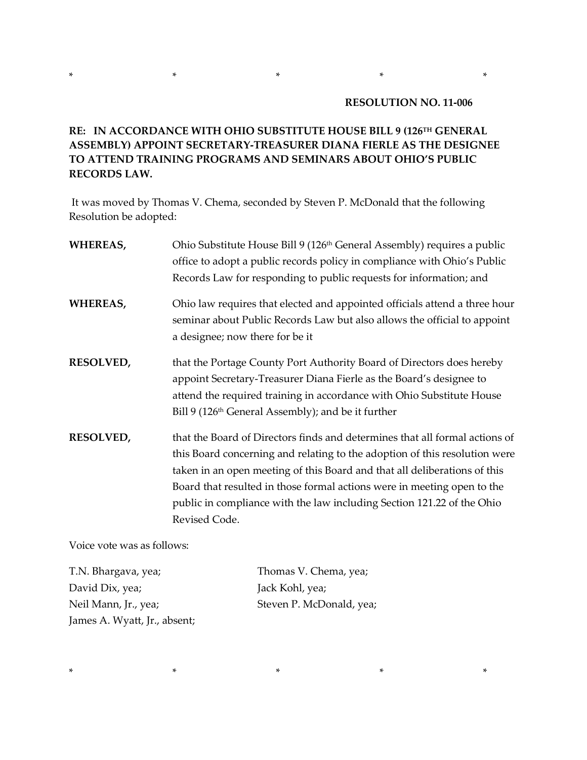## **RE: IN ACCORDANCE WITH OHIO SUBSTITUTE HOUSE BILL 9 (126TH GENERAL ASSEMBLY) APPOINT SECRETARY-TREASURER DIANA FIERLE AS THE DESIGNEE TO ATTEND TRAINING PROGRAMS AND SEMINARS ABOUT OHIO'S PUBLIC RECORDS LAW.**

\* \* \* \* \*

It was moved by Thomas V. Chema, seconded by Steven P. McDonald that the following Resolution be adopted:

| <b>WHEREAS,</b>  | Ohio Substitute House Bill 9 (126 <sup>th</sup> General Assembly) requires a public<br>office to adopt a public records policy in compliance with Ohio's Public<br>Records Law for responding to public requests for information; and                                                                                                                                                                        |
|------------------|--------------------------------------------------------------------------------------------------------------------------------------------------------------------------------------------------------------------------------------------------------------------------------------------------------------------------------------------------------------------------------------------------------------|
| WHEREAS,         | Ohio law requires that elected and appointed officials attend a three hour<br>seminar about Public Records Law but also allows the official to appoint<br>a designee; now there for be it                                                                                                                                                                                                                    |
| RESOLVED,        | that the Portage County Port Authority Board of Directors does hereby<br>appoint Secretary-Treasurer Diana Fierle as the Board's designee to<br>attend the required training in accordance with Ohio Substitute House<br>Bill 9 (126 <sup>th</sup> General Assembly); and be it further                                                                                                                      |
| <b>RESOLVED,</b> | that the Board of Directors finds and determines that all formal actions of<br>this Board concerning and relating to the adoption of this resolution were<br>taken in an open meeting of this Board and that all deliberations of this<br>Board that resulted in those formal actions were in meeting open to the<br>public in compliance with the law including Section 121.22 of the Ohio<br>Revised Code. |

Voice vote was as follows:

T.N. Bhargava, yea; Thomas V. Chema, yea; David Dix, yea; Jack Kohl, yea; Neil Mann, Jr., yea; Steven P. McDonald, yea; James A. Wyatt, Jr., absent;

\* \* \* \* \*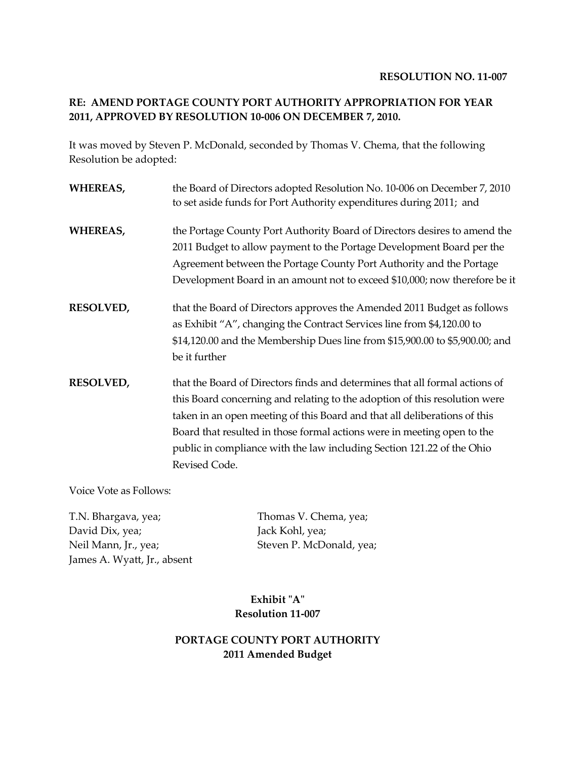#### **RESOLUTION NO. 11-007**

## **RE: AMEND PORTAGE COUNTY PORT AUTHORITY APPROPRIATION FOR YEAR 2011, APPROVED BY RESOLUTION 10-006 ON DECEMBER 7, 2010.**

It was moved by Steven P. McDonald, seconded by Thomas V. Chema, that the following Resolution be adopted:

| WHEREAS,         | the Board of Directors adopted Resolution No. 10-006 on December 7, 2010<br>to set aside funds for Port Authority expenditures during 2011; and                                                                                                                                                                                                                                                              |
|------------------|--------------------------------------------------------------------------------------------------------------------------------------------------------------------------------------------------------------------------------------------------------------------------------------------------------------------------------------------------------------------------------------------------------------|
| WHEREAS,         | the Portage County Port Authority Board of Directors desires to amend the<br>2011 Budget to allow payment to the Portage Development Board per the<br>Agreement between the Portage County Port Authority and the Portage<br>Development Board in an amount not to exceed \$10,000; now therefore be it                                                                                                      |
| <b>RESOLVED,</b> | that the Board of Directors approves the Amended 2011 Budget as follows<br>as Exhibit "A", changing the Contract Services line from \$4,120.00 to<br>\$14,120.00 and the Membership Dues line from \$15,900.00 to \$5,900.00; and<br>be it further                                                                                                                                                           |
| <b>RESOLVED,</b> | that the Board of Directors finds and determines that all formal actions of<br>this Board concerning and relating to the adoption of this resolution were<br>taken in an open meeting of this Board and that all deliberations of this<br>Board that resulted in those formal actions were in meeting open to the<br>public in compliance with the law including Section 121.22 of the Ohio<br>Revised Code. |

Voice Vote as Follows:

T.N. Bhargava, yea; Thomas V. Chema, yea; David Dix, yea; Jack Kohl, yea; Neil Mann, Jr., yea; Steven P. McDonald, yea; James A. Wyatt, Jr., absent

**Exhibit "A" Resolution 11-007**

### **PORTAGE COUNTY PORT AUTHORITY 2011 Amended Budget**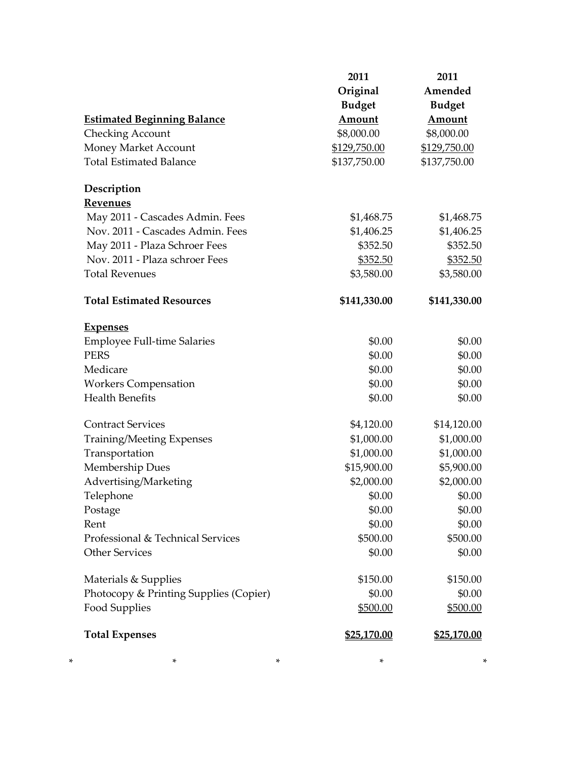| <b>Estimated Beginning Balance</b><br><b>Checking Account</b><br>Money Market Account<br><b>Total Estimated Balance</b> | 2011<br>Original<br><b>Budget</b><br>Amount<br>\$8,000.00<br>\$129,750.00<br>\$137,750.00 | 2011<br>Amended<br><b>Budget</b><br>Amount<br>\$8,000.00<br>\$129,750.00<br>\$137,750.00 |
|-------------------------------------------------------------------------------------------------------------------------|-------------------------------------------------------------------------------------------|------------------------------------------------------------------------------------------|
| Description                                                                                                             |                                                                                           |                                                                                          |
| <b>Revenues</b>                                                                                                         |                                                                                           |                                                                                          |
| May 2011 - Cascades Admin. Fees                                                                                         | \$1,468.75                                                                                | \$1,468.75                                                                               |
| Nov. 2011 - Cascades Admin. Fees                                                                                        | \$1,406.25                                                                                | \$1,406.25                                                                               |
| May 2011 - Plaza Schroer Fees                                                                                           | \$352.50                                                                                  | \$352.50                                                                                 |
| Nov. 2011 - Plaza schroer Fees                                                                                          | \$352.50                                                                                  | \$352.50                                                                                 |
| <b>Total Revenues</b>                                                                                                   | \$3,580.00                                                                                | \$3,580.00                                                                               |
| <b>Total Estimated Resources</b>                                                                                        | \$141,330.00                                                                              | \$141,330.00                                                                             |
| <b>Expenses</b>                                                                                                         |                                                                                           |                                                                                          |
| <b>Employee Full-time Salaries</b>                                                                                      | \$0.00                                                                                    | \$0.00                                                                                   |
| <b>PERS</b>                                                                                                             | \$0.00                                                                                    | \$0.00                                                                                   |
| Medicare                                                                                                                | \$0.00                                                                                    | \$0.00                                                                                   |
| <b>Workers Compensation</b>                                                                                             | \$0.00                                                                                    | \$0.00                                                                                   |
| <b>Health Benefits</b>                                                                                                  | \$0.00                                                                                    | \$0.00                                                                                   |
| <b>Contract Services</b>                                                                                                | \$4,120.00                                                                                | \$14,120.00                                                                              |
| <b>Training/Meeting Expenses</b>                                                                                        | \$1,000.00                                                                                | \$1,000.00                                                                               |
| Transportation                                                                                                          | \$1,000.00                                                                                | \$1,000.00                                                                               |
| Membership Dues                                                                                                         | \$15,900.00                                                                               | \$5,900.00                                                                               |
| Advertising/Marketing                                                                                                   | \$2,000.00                                                                                | \$2,000.00                                                                               |
| Telephone                                                                                                               | \$0.00                                                                                    | \$0.00                                                                                   |
| Postage                                                                                                                 | \$0.00                                                                                    | \$0.00                                                                                   |
| Rent                                                                                                                    | \$0.00                                                                                    | \$0.00                                                                                   |
| Professional & Technical Services                                                                                       | \$500.00                                                                                  | \$500.00                                                                                 |
| <b>Other Services</b>                                                                                                   | \$0.00                                                                                    | \$0.00                                                                                   |
| Materials & Supplies                                                                                                    | \$150.00                                                                                  | \$150.00                                                                                 |
| Photocopy & Printing Supplies (Copier)                                                                                  | \$0.00                                                                                    | \$0.00                                                                                   |
| <b>Food Supplies</b>                                                                                                    | \$500.00                                                                                  | \$500.00                                                                                 |
| <b>Total Expenses</b>                                                                                                   | \$25,170.00                                                                               | \$25,170.00                                                                              |
| *<br>*                                                                                                                  | *                                                                                         | *                                                                                        |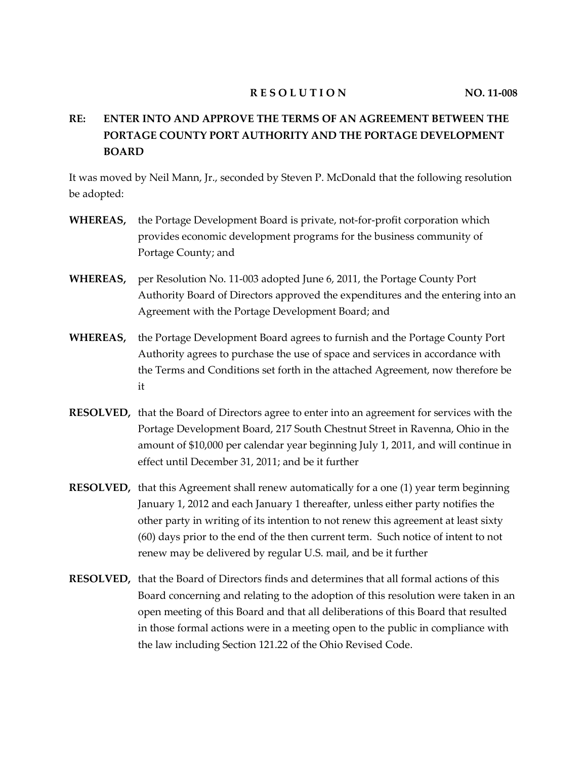#### **RESOLUTION** NO. 11-008

# **RE: ENTER INTO AND APPROVE THE TERMS OF AN AGREEMENT BETWEEN THE PORTAGE COUNTY PORT AUTHORITY AND THE PORTAGE DEVELOPMENT BOARD**

It was moved by Neil Mann, Jr., seconded by Steven P. McDonald that the following resolution be adopted:

- **WHEREAS,** the Portage Development Board is private, not-for-profit corporation which provides economic development programs for the business community of Portage County; and
- **WHEREAS,** per Resolution No. 11-003 adopted June 6, 2011, the Portage County Port Authority Board of Directors approved the expenditures and the entering into an Agreement with the Portage Development Board; and
- **WHEREAS,** the Portage Development Board agrees to furnish and the Portage County Port Authority agrees to purchase the use of space and services in accordance with the Terms and Conditions set forth in the attached Agreement, now therefore be it
- **RESOLVED,** that the Board of Directors agree to enter into an agreement for services with the Portage Development Board, 217 South Chestnut Street in Ravenna, Ohio in the amount of \$10,000 per calendar year beginning July 1, 2011, and will continue in effect until December 31, 2011; and be it further
- **RESOLVED,** that this Agreement shall renew automatically for a one (1) year term beginning January 1, 2012 and each January 1 thereafter, unless either party notifies the other party in writing of its intention to not renew this agreement at least sixty (60) days prior to the end of the then current term. Such notice of intent to not renew may be delivered by regular U.S. mail, and be it further
- **RESOLVED,** that the Board of Directors finds and determines that all formal actions of this Board concerning and relating to the adoption of this resolution were taken in an open meeting of this Board and that all deliberations of this Board that resulted in those formal actions were in a meeting open to the public in compliance with the law including Section 121.22 of the Ohio Revised Code.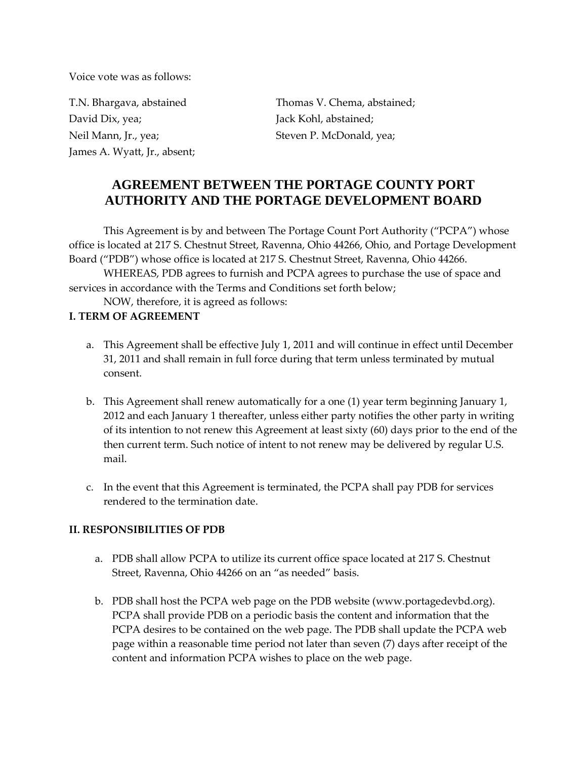Voice vote was as follows:

David Dix, yea; Jack Kohl, abstained; Neil Mann, Jr., yea; Steven P. McDonald, yea; James A. Wyatt, Jr., absent;

T.N. Bhargava, abstained Thomas V. Chema, abstained;

# **AGREEMENT BETWEEN THE PORTAGE COUNTY PORT AUTHORITY AND THE PORTAGE DEVELOPMENT BOARD**

This Agreement is by and between The Portage Count Port Authority ("PCPA") whose office is located at 217 S. Chestnut Street, Ravenna, Ohio 44266, Ohio, and Portage Development Board ("PDB") whose office is located at 217 S. Chestnut Street, Ravenna, Ohio 44266.

WHEREAS, PDB agrees to furnish and PCPA agrees to purchase the use of space and services in accordance with the Terms and Conditions set forth below;

NOW, therefore, it is agreed as follows:

## **I. TERM OF AGREEMENT**

- a. This Agreement shall be effective July 1, 2011 and will continue in effect until December 31, 2011 and shall remain in full force during that term unless terminated by mutual consent.
- b. This Agreement shall renew automatically for a one (1) year term beginning January 1, 2012 and each January 1 thereafter, unless either party notifies the other party in writing of its intention to not renew this Agreement at least sixty (60) days prior to the end of the then current term. Such notice of intent to not renew may be delivered by regular U.S. mail.
- c. In the event that this Agreement is terminated, the PCPA shall pay PDB for services rendered to the termination date.

## **II. RESPONSIBILITIES OF PDB**

- a. PDB shall allow PCPA to utilize its current office space located at 217 S. Chestnut Street, Ravenna, Ohio 44266 on an "as needed" basis.
- b. PDB shall host the PCPA web page on the PDB website (www.portagedevbd.org). PCPA shall provide PDB on a periodic basis the content and information that the PCPA desires to be contained on the web page. The PDB shall update the PCPA web page within a reasonable time period not later than seven (7) days after receipt of the content and information PCPA wishes to place on the web page.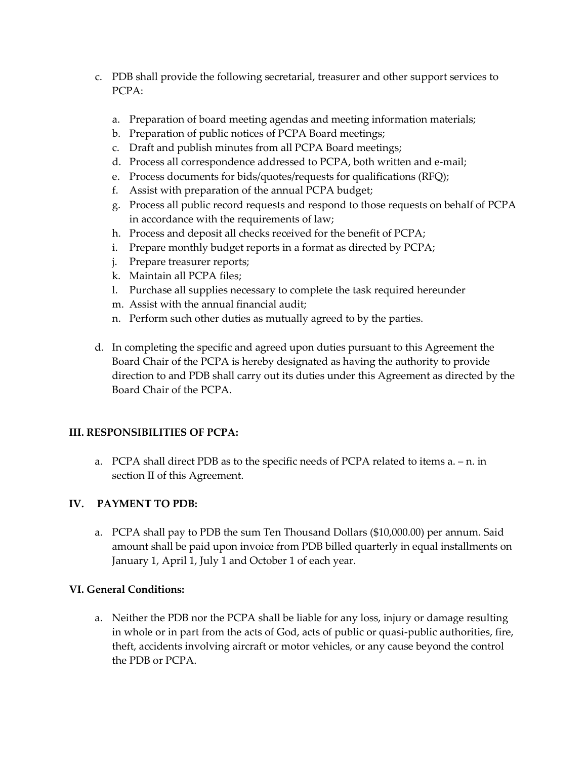- c. PDB shall provide the following secretarial, treasurer and other support services to PCPA:
	- a. Preparation of board meeting agendas and meeting information materials;
	- b. Preparation of public notices of PCPA Board meetings;
	- c. Draft and publish minutes from all PCPA Board meetings;
	- d. Process all correspondence addressed to PCPA, both written and e-mail;
	- e. Process documents for bids/quotes/requests for qualifications (RFQ);
	- f. Assist with preparation of the annual PCPA budget;
	- g. Process all public record requests and respond to those requests on behalf of PCPA in accordance with the requirements of law;
	- h. Process and deposit all checks received for the benefit of PCPA;
	- i. Prepare monthly budget reports in a format as directed by PCPA;
	- j. Prepare treasurer reports;
	- k. Maintain all PCPA files;
	- l. Purchase all supplies necessary to complete the task required hereunder
	- m. Assist with the annual financial audit;
	- n. Perform such other duties as mutually agreed to by the parties.
- d. In completing the specific and agreed upon duties pursuant to this Agreement the Board Chair of the PCPA is hereby designated as having the authority to provide direction to and PDB shall carry out its duties under this Agreement as directed by the Board Chair of the PCPA.

## **III. RESPONSIBILITIES OF PCPA:**

a. PCPA shall direct PDB as to the specific needs of PCPA related to items  $a - n$ . in section II of this Agreement.

## **IV. PAYMENT TO PDB:**

a. PCPA shall pay to PDB the sum Ten Thousand Dollars (\$10,000.00) per annum. Said amount shall be paid upon invoice from PDB billed quarterly in equal installments on January 1, April 1, July 1 and October 1 of each year.

## **VI. General Conditions:**

a. Neither the PDB nor the PCPA shall be liable for any loss, injury or damage resulting in whole or in part from the acts of God, acts of public or quasi-public authorities, fire, theft, accidents involving aircraft or motor vehicles, or any cause beyond the control the PDB or PCPA.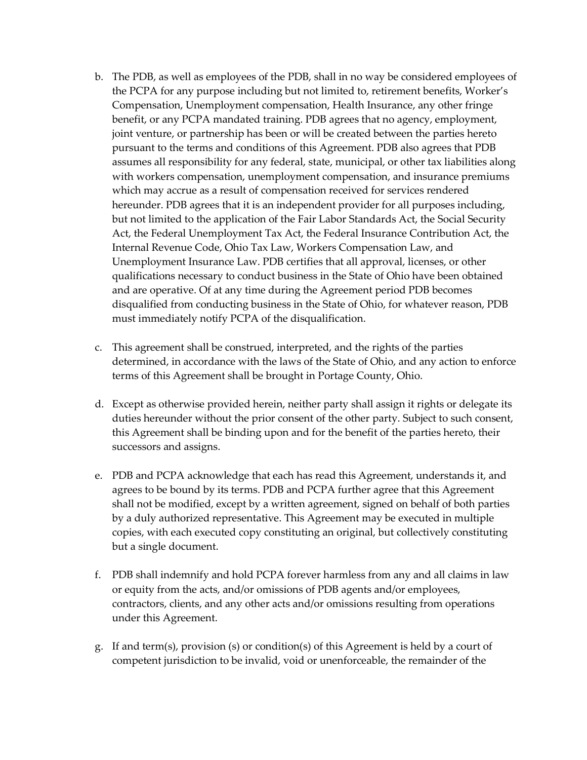- b. The PDB, as well as employees of the PDB, shall in no way be considered employees of the PCPA for any purpose including but not limited to, retirement benefits, Worker's Compensation, Unemployment compensation, Health Insurance, any other fringe benefit, or any PCPA mandated training. PDB agrees that no agency, employment, joint venture, or partnership has been or will be created between the parties hereto pursuant to the terms and conditions of this Agreement. PDB also agrees that PDB assumes all responsibility for any federal, state, municipal, or other tax liabilities along with workers compensation, unemployment compensation, and insurance premiums which may accrue as a result of compensation received for services rendered hereunder. PDB agrees that it is an independent provider for all purposes including, but not limited to the application of the Fair Labor Standards Act, the Social Security Act, the Federal Unemployment Tax Act, the Federal Insurance Contribution Act, the Internal Revenue Code, Ohio Tax Law, Workers Compensation Law, and Unemployment Insurance Law. PDB certifies that all approval, licenses, or other qualifications necessary to conduct business in the State of Ohio have been obtained and are operative. Of at any time during the Agreement period PDB becomes disqualified from conducting business in the State of Ohio, for whatever reason, PDB must immediately notify PCPA of the disqualification.
- c. This agreement shall be construed, interpreted, and the rights of the parties determined, in accordance with the laws of the State of Ohio, and any action to enforce terms of this Agreement shall be brought in Portage County, Ohio.
- d. Except as otherwise provided herein, neither party shall assign it rights or delegate its duties hereunder without the prior consent of the other party. Subject to such consent, this Agreement shall be binding upon and for the benefit of the parties hereto, their successors and assigns.
- e. PDB and PCPA acknowledge that each has read this Agreement, understands it, and agrees to be bound by its terms. PDB and PCPA further agree that this Agreement shall not be modified, except by a written agreement, signed on behalf of both parties by a duly authorized representative. This Agreement may be executed in multiple copies, with each executed copy constituting an original, but collectively constituting but a single document.
- f. PDB shall indemnify and hold PCPA forever harmless from any and all claims in law or equity from the acts, and/or omissions of PDB agents and/or employees, contractors, clients, and any other acts and/or omissions resulting from operations under this Agreement.
- g. If and term(s), provision (s) or condition(s) of this Agreement is held by a court of competent jurisdiction to be invalid, void or unenforceable, the remainder of the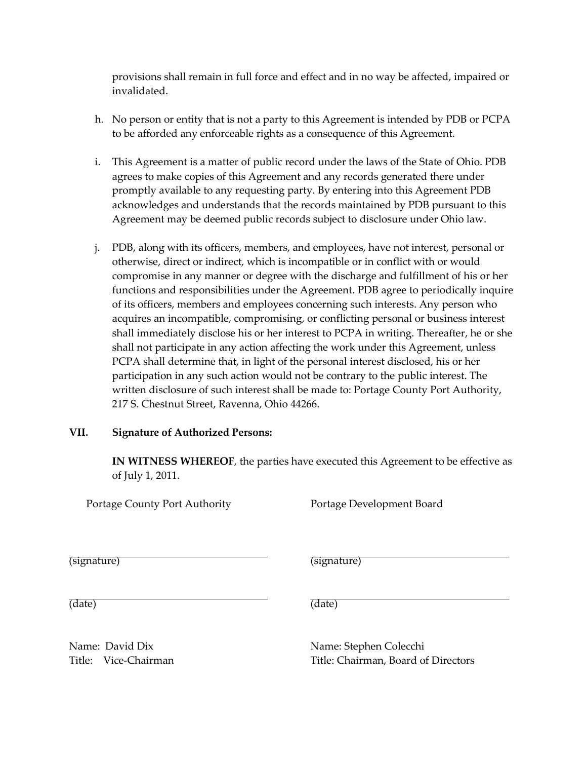provisions shall remain in full force and effect and in no way be affected, impaired or invalidated.

- h. No person or entity that is not a party to this Agreement is intended by PDB or PCPA to be afforded any enforceable rights as a consequence of this Agreement.
- i. This Agreement is a matter of public record under the laws of the State of Ohio. PDB agrees to make copies of this Agreement and any records generated there under promptly available to any requesting party. By entering into this Agreement PDB acknowledges and understands that the records maintained by PDB pursuant to this Agreement may be deemed public records subject to disclosure under Ohio law.
- j. PDB, along with its officers, members, and employees, have not interest, personal or otherwise, direct or indirect, which is incompatible or in conflict with or would compromise in any manner or degree with the discharge and fulfillment of his or her functions and responsibilities under the Agreement. PDB agree to periodically inquire of its officers, members and employees concerning such interests. Any person who acquires an incompatible, compromising, or conflicting personal or business interest shall immediately disclose his or her interest to PCPA in writing. Thereafter, he or she shall not participate in any action affecting the work under this Agreement, unless PCPA shall determine that, in light of the personal interest disclosed, his or her participation in any such action would not be contrary to the public interest. The written disclosure of such interest shall be made to: Portage County Port Authority, 217 S. Chestnut Street, Ravenna, Ohio 44266.

## **VII. Signature of Authorized Persons:**

**IN WITNESS WHEREOF**, the parties have executed this Agreement to be effective as of July 1, 2011.

Portage County Port Authority **Portage Development Board** 

(signature) (signature)

(date) (date)

Name: David Dix Name: Stephen Colecchi Title: Vice-Chairman Title: Chairman, Board of Directors